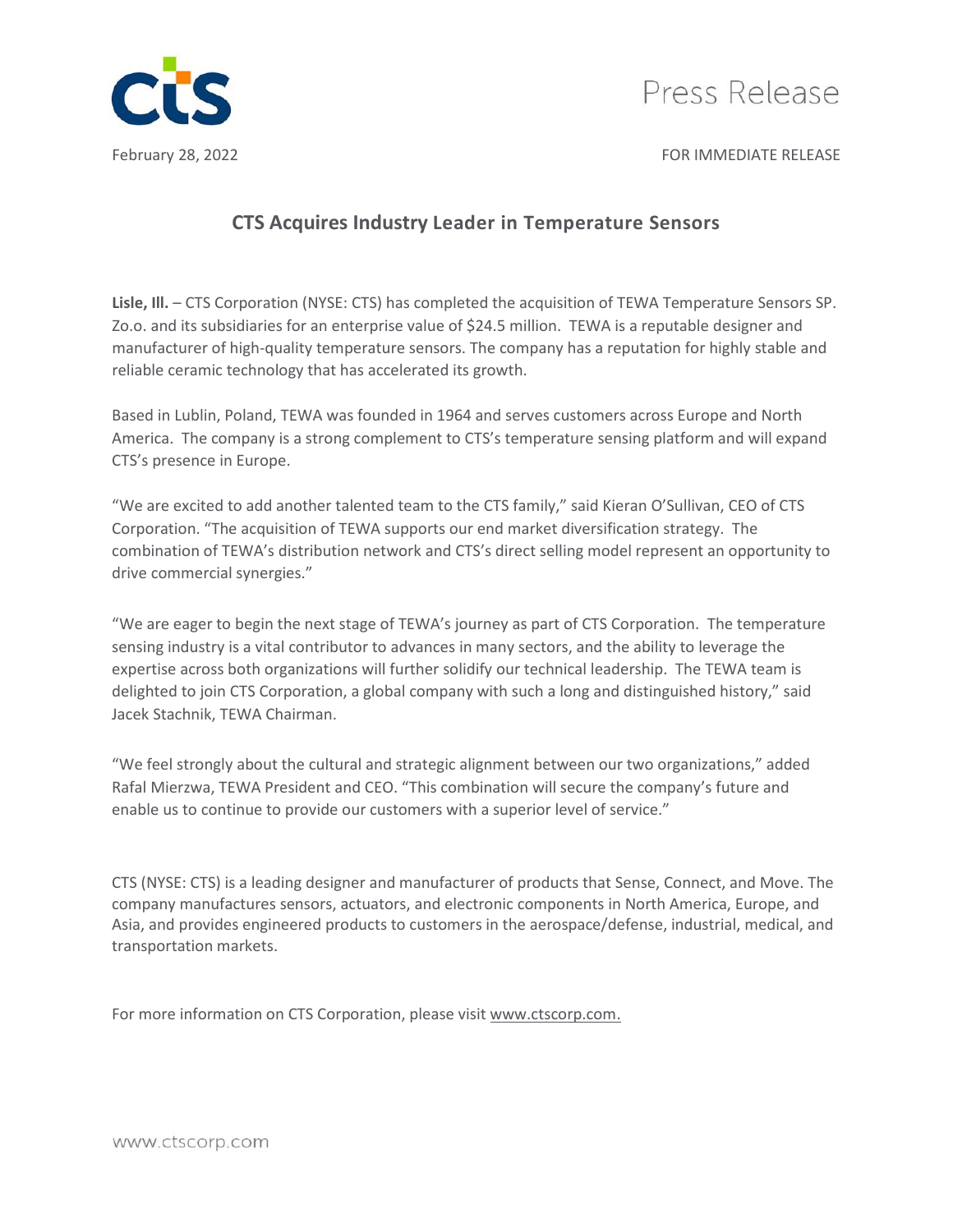



February 28, 2022 **For a struck of the COVID-STATE RELEASE** FOR IMMEDIATE RELEASE

## **CTS Acquires Industry Leader in Temperature Sensors**

Lisle, Ill. – CTS Corporation (NYSE: CTS) has completed the acquisition of TEWA Temperature Sensors SP. Zo.o. and its subsidiaries for an enterprise value of \$24.5 million. TEWA is a reputable designer and manufacturer of high-quality temperature sensors. The company has a reputation for highly stable and reliable ceramic technology that has accelerated its growth.

Based in Lublin, Poland, TEWA was founded in 1964 and serves customers across Europe and North America. The company is a strong complement to CTS's temperature sensing platform and will expand CTS's presence in Europe.

"We are excited to add another talented team to the CTS family," said Kieran O'Sullivan, CEO of CTS Corporation. "The acquisition of TEWA supports our end market diversification strategy. The combination of TEWA's distribution network and CTS's direct selling model represent an opportunity to drive commercial synergies."

"We are eager to begin the next stage of TEWA's journey as part of CTS Corporation. The temperature sensing industry is a vital contributor to advances in many sectors, and the ability to leverage the expertise across both organizations will further solidify our technical leadership. The TEWA team is delighted to join CTS Corporation, a global company with such a long and distinguished history," said Jacek Stachnik, TEWA Chairman.

"We feel strongly about the cultural and strategic alignment between our two organizations," added Rafal Mierzwa, TEWA President and CEO. "This combination will secure the company's future and enable us to continue to provide our customers with a superior level of service."

CTS (NYSE: CTS) is a leading designer and manufacturer of products that Sense, Connect, and Move. The company manufactures sensors, actuators, and electronic components in North America, Europe, and Asia, and provides engineered products to customers in the aerospace/defense, industrial, medical, and transportation markets.

For more information on CTS Corporation, please visit [www.ctscorp.com.](file://us99mfp01/Users/dfabela/Documents/0025%20Press%20Release/4_April%202018/www.ctscorp.com)